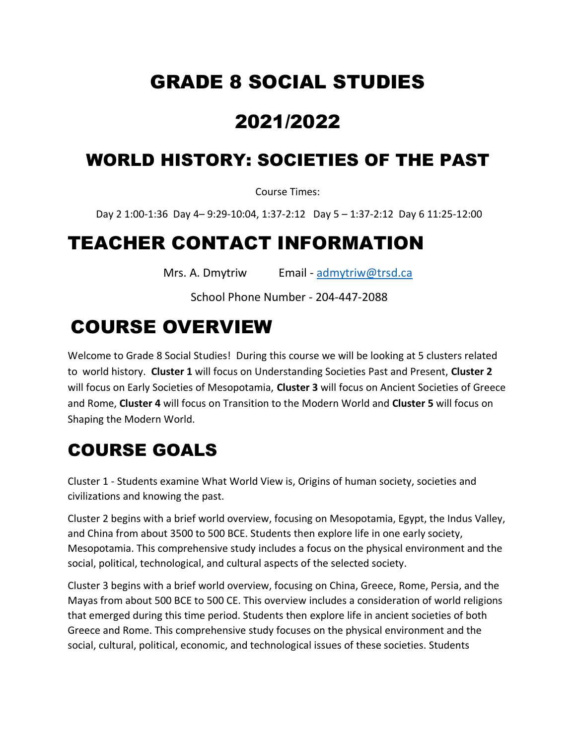## GRADE 8 SOCIAL STUDIES

## 2021/2022

#### WORLD HISTORY: SOCIETIES OF THE PAST

Course Times:

Day 2 1:00-1:36 Day 4– 9:29-10:04, 1:37-2:12 Day 5 – 1:37-2:12 Day 6 11:25-12:00

## TEACHER CONTACT INFORMATION

Mrs. A. Dmytriw Email - [admytriw@trsd.ca](mailto:admytriw@trsd.ca)

School Phone Number - 204-447-2088

## COURSE OVERVIEW

Welcome to Grade 8 Social Studies! During this course we will be looking at 5 clusters related to world history. **Cluster 1** will focus on Understanding Societies Past and Present, **Cluster 2** will focus on Early Societies of Mesopotamia, **Cluster 3** will focus on Ancient Societies of Greece and Rome, **Cluster 4** will focus on Transition to the Modern World and **Cluster 5** will focus on Shaping the Modern World.

## COURSE GOALS

Cluster 1 - Students examine What World View is, Origins of human society, societies and civilizations and knowing the past.

Cluster 2 begins with a brief world overview, focusing on Mesopotamia, Egypt, the Indus Valley, and China from about 3500 to 500 BCE. Students then explore life in one early society, Mesopotamia. This comprehensive study includes a focus on the physical environment and the social, political, technological, and cultural aspects of the selected society.

Cluster 3 begins with a brief world overview, focusing on China, Greece, Rome, Persia, and the Mayas from about 500 BCE to 500 CE. This overview includes a consideration of world religions that emerged during this time period. Students then explore life in ancient societies of both Greece and Rome. This comprehensive study focuses on the physical environment and the social, cultural, political, economic, and technological issues of these societies. Students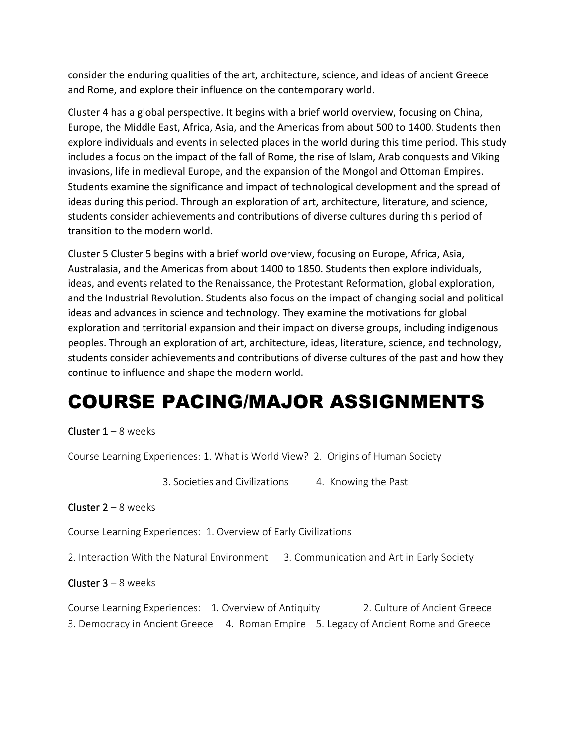consider the enduring qualities of the art, architecture, science, and ideas of ancient Greece and Rome, and explore their influence on the contemporary world.

Cluster 4 has a global perspective. It begins with a brief world overview, focusing on China, Europe, the Middle East, Africa, Asia, and the Americas from about 500 to 1400. Students then explore individuals and events in selected places in the world during this time period. This study includes a focus on the impact of the fall of Rome, the rise of Islam, Arab conquests and Viking invasions, life in medieval Europe, and the expansion of the Mongol and Ottoman Empires. Students examine the significance and impact of technological development and the spread of ideas during this period. Through an exploration of art, architecture, literature, and science, students consider achievements and contributions of diverse cultures during this period of transition to the modern world.

Cluster 5 Cluster 5 begins with a brief world overview, focusing on Europe, Africa, Asia, Australasia, and the Americas from about 1400 to 1850. Students then explore individuals, ideas, and events related to the Renaissance, the Protestant Reformation, global exploration, and the Industrial Revolution. Students also focus on the impact of changing social and political ideas and advances in science and technology. They examine the motivations for global exploration and territorial expansion and their impact on diverse groups, including indigenous peoples. Through an exploration of art, architecture, ideas, literature, science, and technology, students consider achievements and contributions of diverse cultures of the past and how they continue to influence and shape the modern world.

## COURSE PACING/MAJOR ASSIGNMENTS

Cluster  $1 - 8$  weeks

Course Learning Experiences: 1. What is World View? 2. Origins of Human Society

3. Societies and Civilizations 4. Knowing the Past

**Cluster 2** – 8 weeks

Course Learning Experiences: 1. Overview of Early Civilizations

2. Interaction With the Natural Environment 3. Communication and Art in Early Society

**Cluster 3** – 8 weeks

Course Learning Experiences: 1. Overview of Antiquity 2. Culture of Ancient Greece 3. Democracy in Ancient Greece 4. Roman Empire 5. Legacy of Ancient Rome and Greece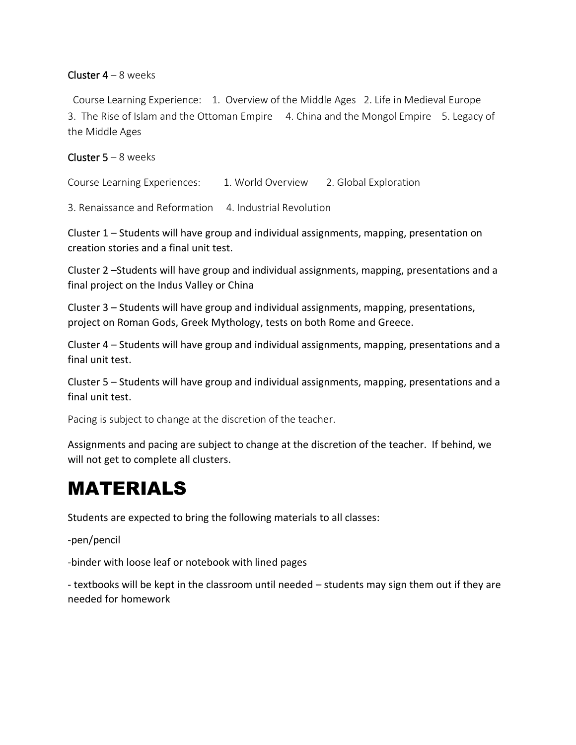#### Cluster  $4 - 8$  weeks

 Course Learning Experience: 1. Overview of the Middle Ages 2. Life in Medieval Europe 3. The Rise of Islam and the Ottoman Empire 4. China and the Mongol Empire 5. Legacy of the Middle Ages

#### **Cluster 5 – 8 weeks**

Course Learning Experiences: 1. World Overview 2. Global Exploration

3. Renaissance and Reformation 4. Industrial Revolution

Cluster 1 – Students will have group and individual assignments, mapping, presentation on creation stories and a final unit test.

Cluster 2 –Students will have group and individual assignments, mapping, presentations and a final project on the Indus Valley or China

Cluster 3 – Students will have group and individual assignments, mapping, presentations, project on Roman Gods, Greek Mythology, tests on both Rome and Greece.

Cluster 4 – Students will have group and individual assignments, mapping, presentations and a final unit test.

Cluster 5 – Students will have group and individual assignments, mapping, presentations and a final unit test.

Pacing is subject to change at the discretion of the teacher.

Assignments and pacing are subject to change at the discretion of the teacher. If behind, we will not get to complete all clusters.

## MATERIALS

Students are expected to bring the following materials to all classes:

-pen/pencil

-binder with loose leaf or notebook with lined pages

- textbooks will be kept in the classroom until needed – students may sign them out if they are needed for homework